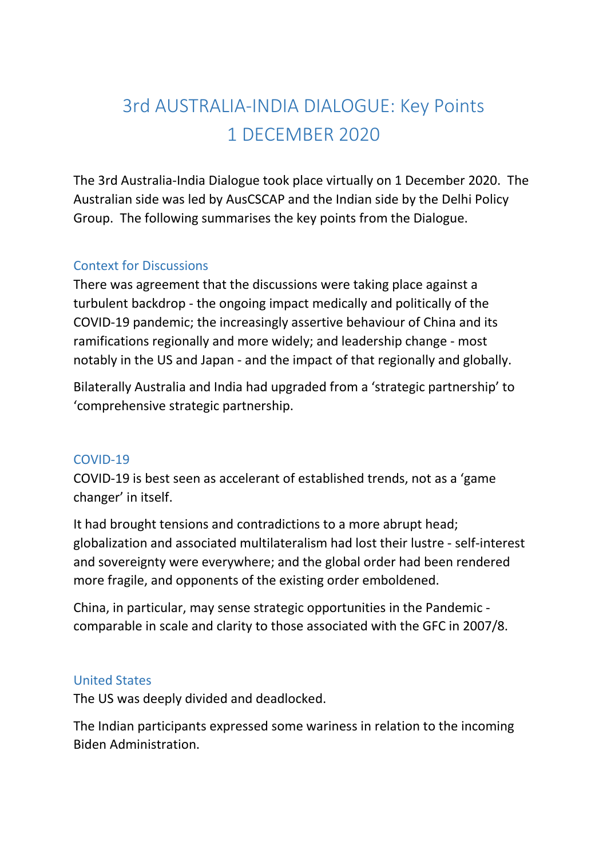# 3rd AUSTRALIA-INDIA DIALOGUE: Key Points 1 DECEMBER 2020

The 3rd Australia-India Dialogue took place virtually on 1 December 2020. The Australian side was led by AusCSCAP and the Indian side by the Delhi Policy Group. The following summarises the key points from the Dialogue.

#### Context for Discussions

There was agreement that the discussions were taking place against a turbulent backdrop - the ongoing impact medically and politically of the COVID-19 pandemic; the increasingly assertive behaviour of China and its ramifications regionally and more widely; and leadership change - most notably in the US and Japan - and the impact of that regionally and globally.

Bilaterally Australia and India had upgraded from a 'strategic partnership' to 'comprehensive strategic partnership.

#### COVID-19

COVID-19 is best seen as accelerant of established trends, not as a 'game changer' in itself.

It had brought tensions and contradictions to a more abrupt head; globalization and associated multilateralism had lost their lustre - self-interest and sovereignty were everywhere; and the global order had been rendered more fragile, and opponents of the existing order emboldened.

China, in particular, may sense strategic opportunities in the Pandemic comparable in scale and clarity to those associated with the GFC in 2007/8.

#### United States

The US was deeply divided and deadlocked.

The Indian participants expressed some wariness in relation to the incoming Biden Administration.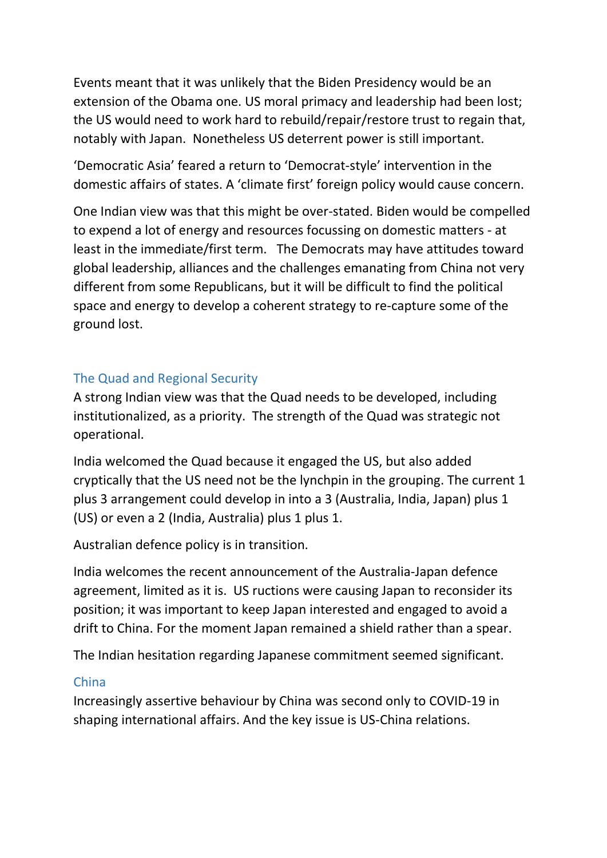Events meant that it was unlikely that the Biden Presidency would be an extension of the Obama one. US moral primacy and leadership had been lost; the US would need to work hard to rebuild/repair/restore trust to regain that, notably with Japan. Nonetheless US deterrent power is still important.

'Democratic Asia' feared a return to 'Democrat-style' intervention in the domestic affairs of states. A 'climate first' foreign policy would cause concern.

One Indian view was that this might be over-stated. Biden would be compelled to expend a lot of energy and resources focussing on domestic matters - at least in the immediate/first term. The Democrats may have attitudes toward global leadership, alliances and the challenges emanating from China not very different from some Republicans, but it will be difficult to find the political space and energy to develop a coherent strategy to re-capture some of the ground lost.

#### The Quad and Regional Security

A strong Indian view was that the Quad needs to be developed, including institutionalized, as a priority. The strength of the Quad was strategic not operational.

India welcomed the Quad because it engaged the US, but also added cryptically that the US need not be the lynchpin in the grouping. The current 1 plus 3 arrangement could develop in into a 3 (Australia, India, Japan) plus 1 (US) or even a 2 (India, Australia) plus 1 plus 1.

Australian defence policy is in transition.

India welcomes the recent announcement of the Australia-Japan defence agreement, limited as it is. US ructions were causing Japan to reconsider its position; it was important to keep Japan interested and engaged to avoid a drift to China. For the moment Japan remained a shield rather than a spear.

The Indian hesitation regarding Japanese commitment seemed significant.

#### China

Increasingly assertive behaviour by China was second only to COVID-19 in shaping international affairs. And the key issue is US-China relations.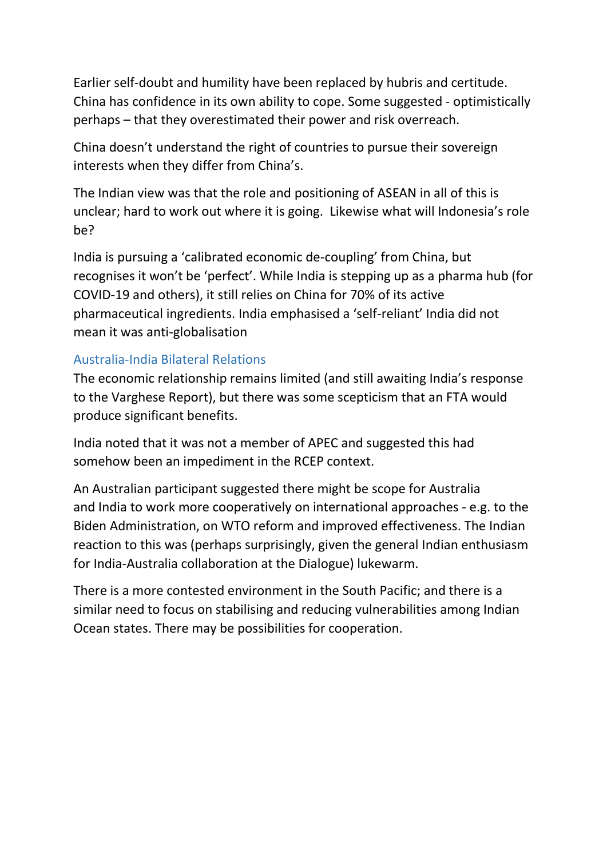Earlier self-doubt and humility have been replaced by hubris and certitude. China has confidence in its own ability to cope. Some suggested - optimistically perhaps – that they overestimated their power and risk overreach.

China doesn't understand the right of countries to pursue their sovereign interests when they differ from China's.

The Indian view was that the role and positioning of ASEAN in all of this is unclear; hard to work out where it is going. Likewise what will Indonesia's role be?

India is pursuing a 'calibrated economic de-coupling' from China, but recognises it won't be 'perfect'. While India is stepping up as a pharma hub (for COVID-19 and others), it still relies on China for 70% of its active pharmaceutical ingredients. India emphasised a 'self-reliant' India did not mean it was anti-globalisation

#### Australia-India Bilateral Relations

The economic relationship remains limited (and still awaiting India's response to the Varghese Report), but there was some scepticism that an FTA would produce significant benefits.

India noted that it was not a member of APEC and suggested this had somehow been an impediment in the RCEP context.

An Australian participant suggested there might be scope for Australia and India to work more cooperatively on international approaches - e.g. to the Biden Administration, on WTO reform and improved effectiveness. The Indian reaction to this was (perhaps surprisingly, given the general Indian enthusiasm for India-Australia collaboration at the Dialogue) lukewarm.

There is a more contested environment in the South Pacific; and there is a similar need to focus on stabilising and reducing vulnerabilities among Indian Ocean states. There may be possibilities for cooperation.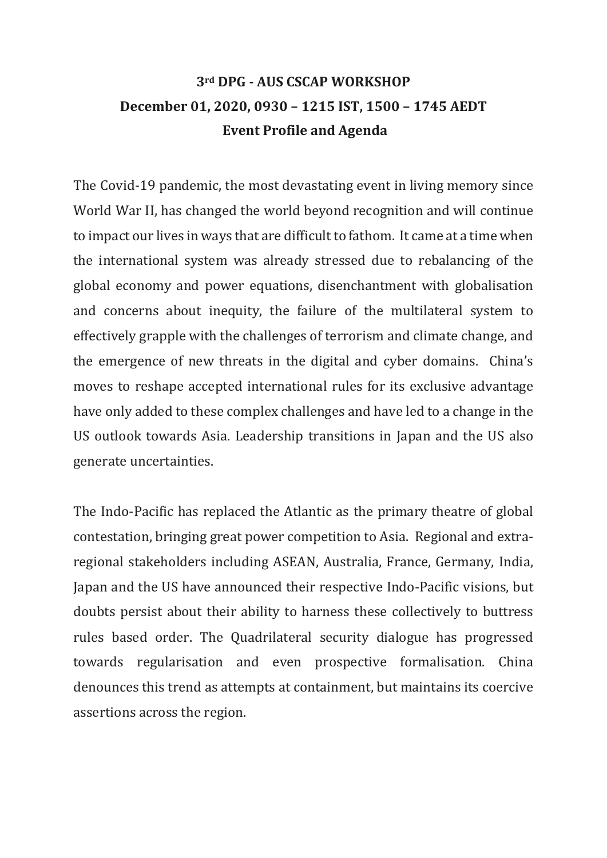# **3rd DPG - AUS CSCAP WORKSHOP December 01, 2020, 0930 – 1215 IST, 1500 – 1745 AEDT Event Profile and Agenda**

The Covid-19 pandemic, the most devastating event in living memory since World War II, has changed the world beyond recognition and will continue to impact our lives in ways that are difficult to fathom. It came at a time when the international system was already stressed due to rebalancing of the global economy and power equations, disenchantment with globalisation and concerns about inequity, the failure of the multilateral system to effectively grapple with the challenges of terrorism and climate change, and the emergence of new threats in the digital and cyber domains. China's moves to reshape accepted international rules for its exclusive advantage have only added to these complex challenges and have led to a change in the US outlook towards Asia. Leadership transitions in Japan and the US also generate uncertainties.

The Indo-Pacific has replaced the Atlantic as the primary theatre of global contestation, bringing great power competition to Asia. Regional and extraregional stakeholders including ASEAN, Australia, France, Germany, India, Japan and the US have announced their respective Indo-Pacific visions, but doubts persist about their ability to harness these collectively to buttress rules based order. The Quadrilateral security dialogue has progressed towards regularisation and even prospective formalisation. China denounces this trend as attempts at containment, but maintains its coercive assertions across the region.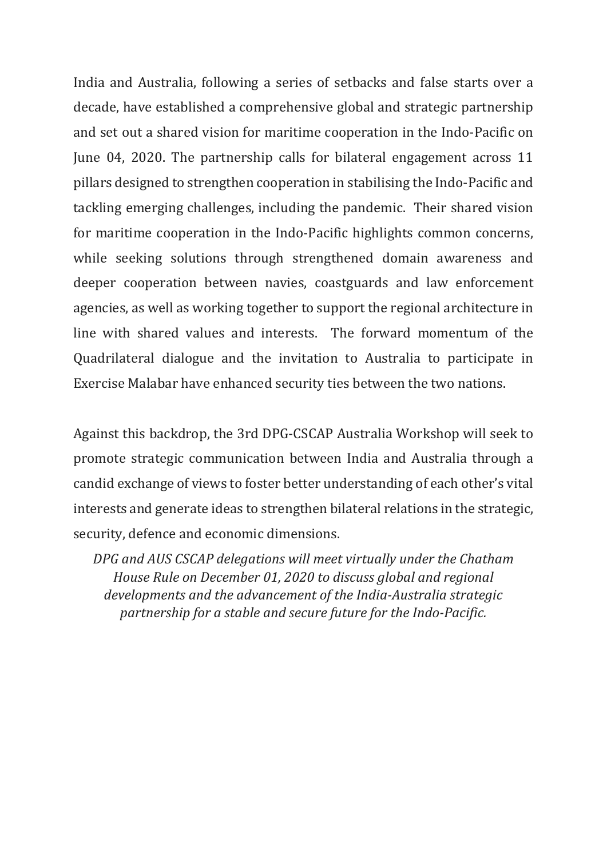India and Australia, following a series of setbacks and false starts over a decade, have established a comprehensive global and strategic partnership and set out a shared vision for maritime cooperation in the Indo-Pacific on June 04, 2020. The partnership calls for bilateral engagement across 11 pillars designed to strengthen cooperation in stabilising the Indo-Pacific and tackling emerging challenges, including the pandemic. Their shared vision for maritime cooperation in the Indo-Pacific highlights common concerns, while seeking solutions through strengthened domain awareness and deeper cooperation between navies, coastguards and law enforcement agencies, as well as working together to support the regional architecture in line with shared values and interests. The forward momentum of the Quadrilateral dialogue and the invitation to Australia to participate in Exercise Malabar have enhanced security ties between the two nations.

Against this backdrop, the 3rd DPG-CSCAP Australia Workshop will seek to promote strategic communication between India and Australia through a candid exchange of views to foster better understanding of each other's vital interests and generate ideas to strengthen bilateral relations in the strategic, security, defence and economic dimensions.

*DPG and AUS CSCAP delegations will meet virtually under the Chatham House Rule on December 01, 2020 to discuss global and regional developments and the advancement of the India-Australia strategic partnership for a stable and secure future for the Indo-Pacific.*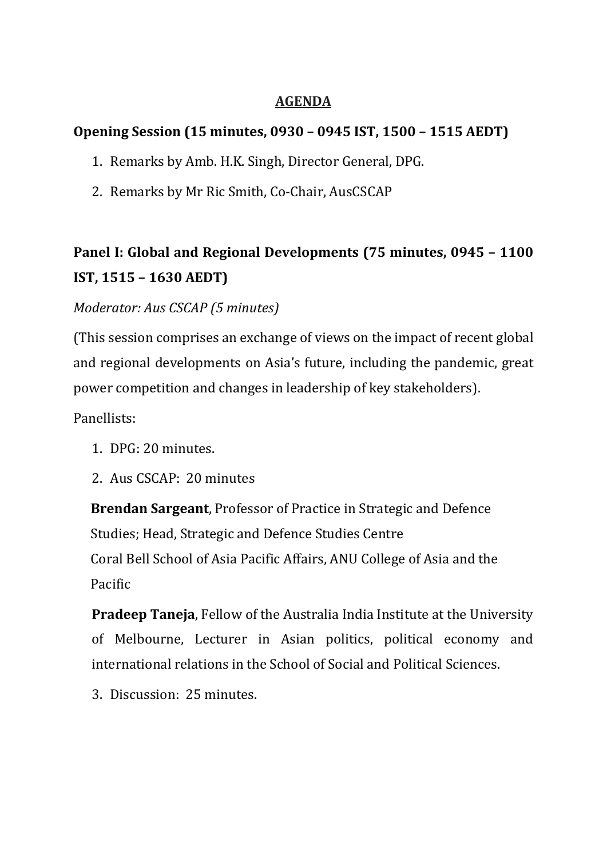#### **AGENDA**

### **Opening Session (15 minutes, 0930 – 0945 IST, 1500 – 1515 AEDT)**

- 1. Remarks by Amb. H.K. Singh, Director General, DPG.
- 2. Remarks by Mr Ric Smith, Co-Chair, AusCSCAP

# **Panel I: Global and Regional Developments (75 minutes, 0945 – 1100 IST, 1515 – 1630 AEDT)**

### *Moderator: Aus CSCAP (5 minutes)*

(This session comprises an exchange of views on the impact of recent global and regional developments on Asia's future, including the pandemic, great power competition and changes in leadership of key stakeholders).

Panellists:

- 1. DPG: 20 minutes.
- 2. Aus CSCAP: 20 minutes

**Brendan Sargeant**, Professor of Practice in Strategic and Defence Studies; Head, Strategic and Defence Studies Centre Coral Bell School of Asia Pacific Affairs, ANU College of Asia and the Pacific

**Pradeep Taneja**, Fellow of the Australia India Institute at the University of Melbourne, Lecturer in Asian politics, political economy and international relations in the School of Social and Political Sciences.

3. Discussion: 25 minutes.